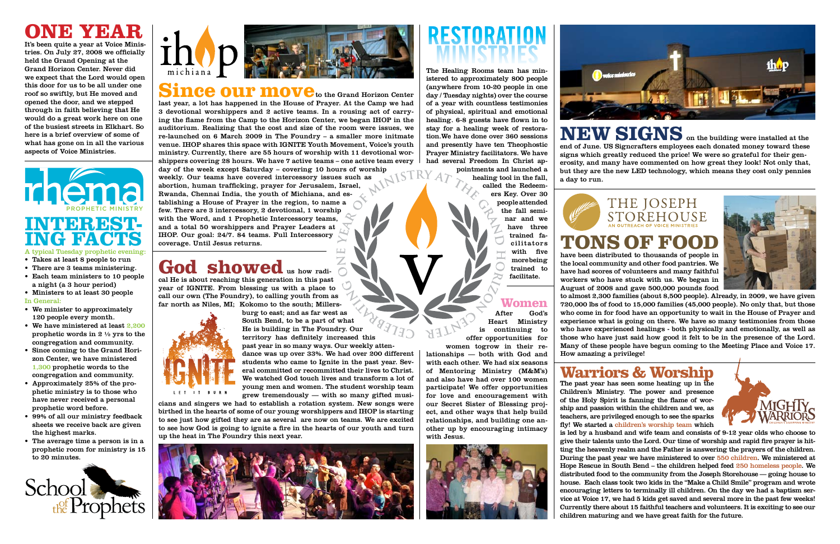### **Warriors & Worship**





The past year has seen some heating up in the Children's Ministry. The power and presence of the Holy Spirit is fanning the flame of worship and passion within the children and we, as teachers, are privileged enough to see the sparks fly! We started a children's worship team which is led by a husband and wife team and consists of 9-12 year olds who choose to give their talents unto the Lord. Our time of worship and rapid fire prayer is hitting the heavenly realm and the Father is answering the prayers of the children. During the past year we have ministered to over 550 children. We ministered at Hope Rescue in South Bend – the children helped feed 250 homeless people. We distributed food to the community from the Joseph Storehouse — going house to house. Each class took two kids in the "Make a Child Smile" program and wrote encouraging letters to terminally ill children. On the day we had a baptism service at Voice 17, we had 5 kids get saved and several more in the past few weeks! Currently there about 15 faithful teachers and volunteers. It is exciting to see our children maturing and we have great faith for the future.



# THE JOSEPH<br>STOREHOUSE

### **tons of food**

have been distributed to thousands of people in the local community and other food pantries. We have had scores of volunteers and many faithful workers who have stuck with us. We began in August of 2008 and gave 500,000 pounds food

to almost 2,300 families (about 8,500 people). Already, in 2009, we have given 720,000 lbs of food to 15,000 families (45,000 people). No only that, but those who come in for food have an opportunity to wait in the House of Prayer and experience what is going on there. We have so many testimonies from those who have experienced healings - both physically and emotionally, as well as those who have just said how good it felt to be in the presence of the Lord. Many of these people have begun coming to the Meeting Place and Voice 17. How amazing a privilege!

cal He is about reaching this generation in this past year of IGNITE. From blessing us with a place to call our own (The Foundry), to calling youth from as far north as Niles, MI; Kokomo to the south; Millers-



**ONE BY BAR**<br>It's been quite a year at Voice Minis-It's been quite a year at Voice Minis tries. On July 27, 2008 we officially held the Grand Opening at the Grand Horizon Center. Never did we expect that the Lord would open this door for us to be all under one roof so swiftly, but He moved and opened the door, and we stepped through in faith believing that He would do a great work here on one of the busiest streets in Elkhart. So here is a brief overview of some of what has gone on in all the various aspects of Voice Ministries.

> burg to east; and as far west as South Bend, to be a part of what He is building in The Foundry. Our territory has definitely increased this past year in so many ways. Our weekly attendance was up over 33%. We had over 200 different students who came to Ignite in the past year. Several committed or recommitted their lives to Christ. We watched God touch lives and transform a lot of young men and women. The student worship team grew tremendously — with so many gifted musi-

cians and singers we had to establish a rotation system. New songs were birthed in the hearts of some of our young worshippers and IHOP is starting to see just how gifted they are as several are now on teams. We are excited to see how God is going to ignite a fire in the hearts of our youth and turn up the heat in The Foundry this next year.





**NEW SIGNS** on the building were installed at the end of June. US Signcrafters employees each donated money toward these signs which greatly reduced the price! We were so grateful for their generosity, and many have commented on how great they look! Not only that, but they are the new LED technology, which means they cost only pennies a day to run.



God's Heart Ministry is continuing to offer opportunities for women togrow in their relationships — both with God and with each other. We had six seasons of Mentoring Ministry (M&M's) and also have had over 100 women participate! We offer opportunities for love and encouragement with our Secret Sister of Blessing project, and other ways that help build relationships, and building one another up by encouraging intimacy with Jesus.



**D** voice minis

last year, a lot has happened in the House of Prayer. At the Camp we had 3 devotional worshippers and 2 active teams. In a rousing act of carrying the flame from the Camp to the Horizon Center, we began IHOP in the auditorium. Realizing that the cost and size of the room were issues, we re-launched on 6 March 2009 in The Foundry – a smaller more initmate venue. IHOP shares this space with IGNITE Youth Movement, Voice's youth ministry. Currently, there are 55 hours of worship with 11 devotional worshippers covering 28 hours. We have 7 active teams – one active team every day of the week except Saturday – covering 10 hours of worship weekly. Our teams have covered intercessory issues such as abortion, human trafficking, prayer for Jerusalem, Israel, Rwanda, Chennai India, the youth of Michiana, and establishing a House of Prayer in the region, to name a few. There are 3 intercessory, 2 devotional, 1 worship with the Word, and 1 Prophetic Intercessory teams, and a total 50 worshippers and Prayer Leaders at IHOP. Our goal: 24/7. 84 teams. Full Intercessory coverage. Until Jesus returns.

### God showed us how radi-

## **INTEREST- ING FACTS**

- A typical Tuesday prophetic evening:
- • Takes at least 8 people to run
- There are 3 teams ministering. • Each team ministers to 10 people a night (a 3 hour period)
- • Ministers to at least 30 people
- In General:
- • We minister to approximately 120 people every month.
- We have ministered at least 2,200 prophetic words in 2 ½ yrs to the congregation and community.
- • Since coming to the Grand Horizon Center, we have ministered 1,300 prophetic words to the congregation and community.
- • Approximately 25% of the prophetic ministry is to those who have never received a personal prophetic word before.
- • 99% of all our ministry feedback sheets we receive back are given the highest marks.
- • The average time a person is in a prophetic room for ministry is 15 to 20 minutes.





### Since our move<sub>to the Grand Horizon Center</sub>

The Healing Rooms team has ministered to approximately 800 people (anywhere from 10-20 people in one day / Tuesday nights) over the course of a year with countless testimonies of physical, spiritual and emotional healing. 6-8 guests have flown in to stay for a healing week of restoration.We have done over 360 sessions and presently have ten Theophostic Prayer Ministry facilitators. We have had several Freedom In Christ ap-

pointments and launched a healing tool in the fall, called the Redeem-

> ers Key. Over 30 people attended the fall seminar and we have three trained facilitators with five more being trained to facilitate.

### **Women**<br>After God's

## **RESTORATION MINISTRIES**